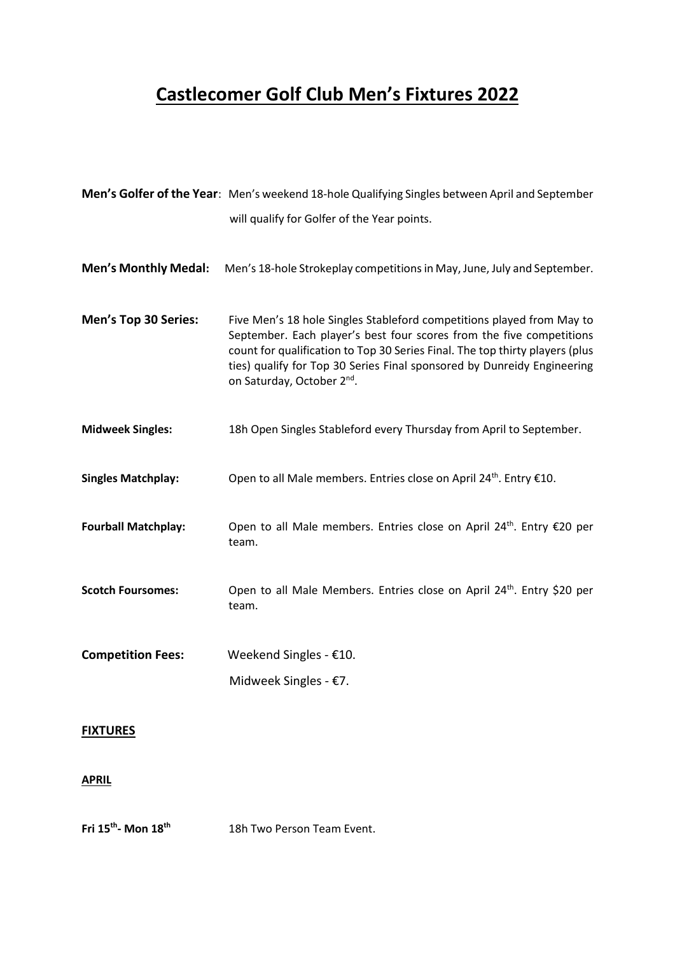# **Castlecomer Golf Club Men's Fixtures 2022**

|                             | Men's Golfer of the Year: Men's weekend 18-hole Qualifying Singles between April and September                                                                                                                                                                                                                                                     |
|-----------------------------|----------------------------------------------------------------------------------------------------------------------------------------------------------------------------------------------------------------------------------------------------------------------------------------------------------------------------------------------------|
|                             | will qualify for Golfer of the Year points.                                                                                                                                                                                                                                                                                                        |
| <b>Men's Monthly Medal:</b> | Men's 18-hole Strokeplay competitions in May, June, July and September.                                                                                                                                                                                                                                                                            |
| Men's Top 30 Series:        | Five Men's 18 hole Singles Stableford competitions played from May to<br>September. Each player's best four scores from the five competitions<br>count for qualification to Top 30 Series Final. The top thirty players (plus<br>ties) qualify for Top 30 Series Final sponsored by Dunreidy Engineering<br>on Saturday, October 2 <sup>nd</sup> . |
| <b>Midweek Singles:</b>     | 18h Open Singles Stableford every Thursday from April to September.                                                                                                                                                                                                                                                                                |
| <b>Singles Matchplay:</b>   | Open to all Male members. Entries close on April 24 <sup>th</sup> . Entry €10.                                                                                                                                                                                                                                                                     |
| <b>Fourball Matchplay:</b>  | Open to all Male members. Entries close on April 24 <sup>th</sup> . Entry €20 per<br>team.                                                                                                                                                                                                                                                         |
| <b>Scotch Foursomes:</b>    | Open to all Male Members. Entries close on April 24 <sup>th</sup> . Entry \$20 per<br>team.                                                                                                                                                                                                                                                        |
| <b>Competition Fees:</b>    | Weekend Singles - €10.                                                                                                                                                                                                                                                                                                                             |
|                             | Midweek Singles - €7.                                                                                                                                                                                                                                                                                                                              |

## **FIXTURES**

#### **APRIL**

**Fri 15th - Mon 18th** 18h Two Person Team Event.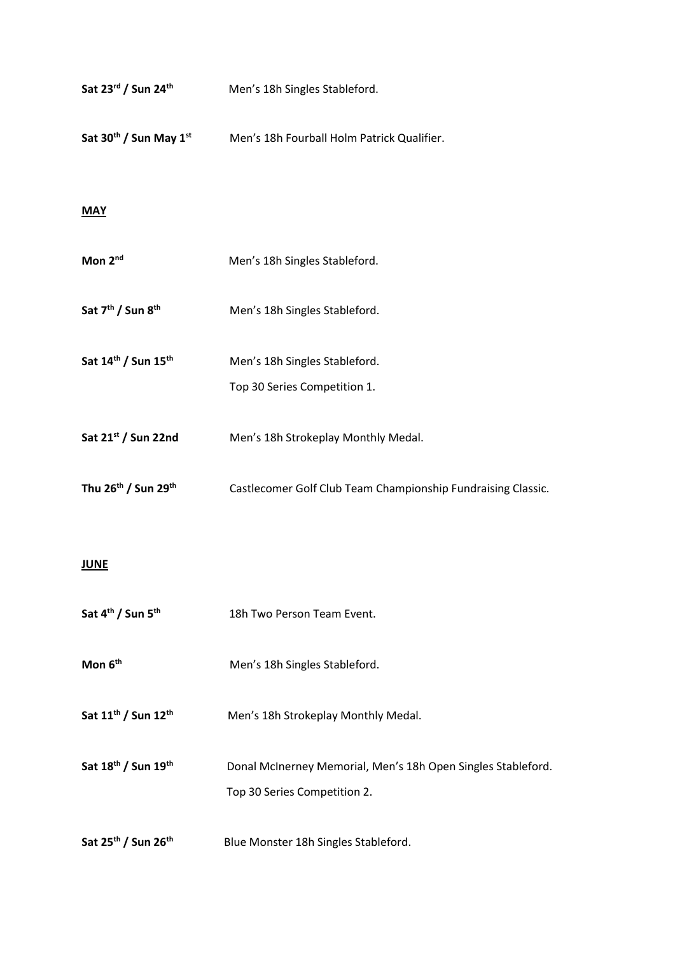| Sat 23rd / Sun 24th                            | Men's 18h Singles Stableford.                                                                |
|------------------------------------------------|----------------------------------------------------------------------------------------------|
| Sat 30 <sup>th</sup> / Sun May 1 <sup>st</sup> | Men's 18h Fourball Holm Patrick Qualifier.                                                   |
| <b>MAY</b>                                     |                                                                                              |
| Mon 2 <sup>nd</sup>                            | Men's 18h Singles Stableford.                                                                |
| Sat 7 <sup>th</sup> / Sun 8 <sup>th</sup>      | Men's 18h Singles Stableford.                                                                |
| Sat 14th / Sun 15th                            | Men's 18h Singles Stableford.<br>Top 30 Series Competition 1.                                |
| Sat 21st / Sun 22nd                            | Men's 18h Strokeplay Monthly Medal.                                                          |
| Thu 26th / Sun 29th                            | Castlecomer Golf Club Team Championship Fundraising Classic.                                 |
| <b>JUNE</b>                                    |                                                                                              |
| Sat 4 <sup>th</sup> / Sun 5 <sup>th</sup>      | 18h Two Person Team Event.                                                                   |
| Mon 6 <sup>th</sup>                            | Men's 18h Singles Stableford.                                                                |
| Sat 11 <sup>th</sup> / Sun 12 <sup>th</sup>    | Men's 18h Strokeplay Monthly Medal.                                                          |
| Sat 18 <sup>th</sup> / Sun 19 <sup>th</sup>    | Donal McInerney Memorial, Men's 18h Open Singles Stableford.<br>Top 30 Series Competition 2. |
| Sat 25 <sup>th</sup> / Sun 26 <sup>th</sup>    | Blue Monster 18h Singles Stableford.                                                         |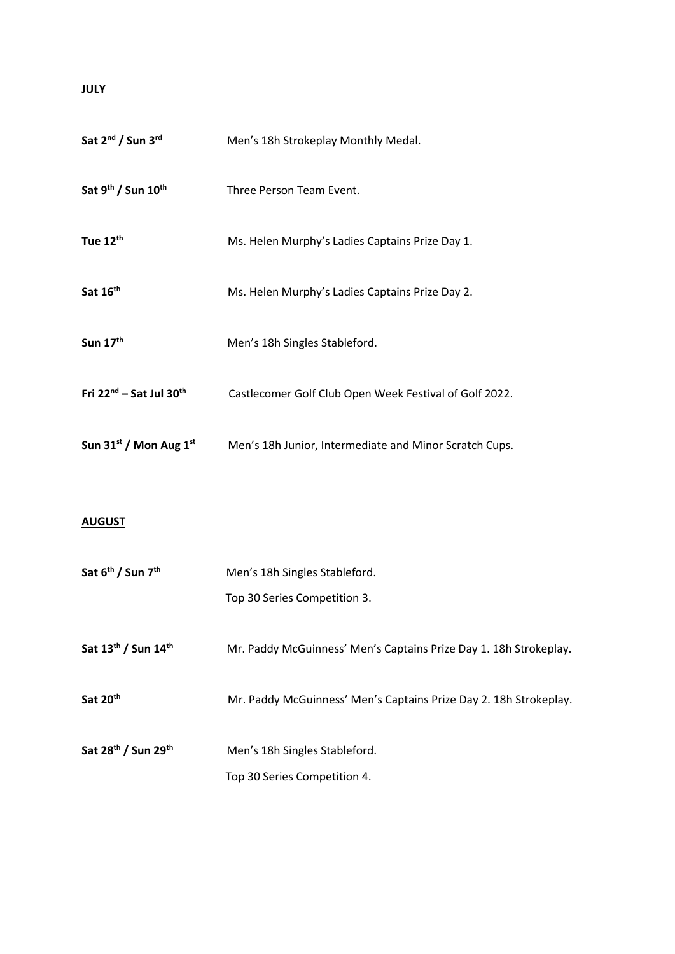#### **JULY**

| Sat 2 <sup>nd</sup> / Sun 3 <sup>rd</sup> | Men's 18h Strokeplay Monthly Medal.                               |  |
|-------------------------------------------|-------------------------------------------------------------------|--|
| Sat 9th / Sun 10th                        | Three Person Team Event.                                          |  |
| Tue 12th                                  | Ms. Helen Murphy's Ladies Captains Prize Day 1.                   |  |
| Sat 16th                                  | Ms. Helen Murphy's Ladies Captains Prize Day 2.                   |  |
| Sun 17th                                  | Men's 18h Singles Stableford.                                     |  |
| Fri 22nd - Sat Jul 30th                   | Castlecomer Golf Club Open Week Festival of Golf 2022.            |  |
| Sun 31st / Mon Aug 1st                    | Men's 18h Junior, Intermediate and Minor Scratch Cups.            |  |
|                                           |                                                                   |  |
| <b>AUGUST</b>                             |                                                                   |  |
| Sat 6 <sup>th</sup> / Sun 7 <sup>th</sup> | Men's 18h Singles Stableford.                                     |  |
|                                           | Top 30 Series Competition 3.                                      |  |
| Sat 13th / Sun 14th                       | Mr. Paddy McGuinness' Men's Captains Prize Day 1. 18h Strokeplay. |  |

- **Sat 20 th** Mr. Paddy McGuinness' Men's Captains Prize Day 2. 18h Strokeplay.
- **Sat 28th / Sun 29 th** Men's 18h Singles Stableford.

Top 30 Series Competition 4.